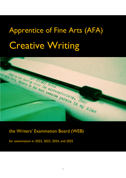# Apprentice of Fine Arts (AFA) Creative Writing



the Writers' Examination Board (WEB)

for examination in 2022, 2023, 2024, and 2025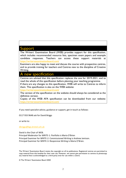#### Support

The Writers' Examination Board (WEB) provides support for this specification, which includes recommended resource lists, specimen exam papers and example candidate responses. Teachers can access these support materials at <https://writersexaminationboard.com/>

Examiners are also happy to meet and discuss the course with prospective centres, and to provide training for teachers and Centres new to the discipline of Creative Writing.

#### A new specification

Centres are advised that this specification replaces the one for 2019-2021, and to read the whole of this specification before planning your teaching programme. If there are any changes to this specification, WEB will write to Centres to inform them. This specification is also on the WEB website:

<https://writersexaminationboard.com/>

The version of the specification on the website should always be considered as the definitive version.

Copies of this WEB AFA specification can be downloaded from our website: <https://writersexaminationboard.com/>

If you need specialist advice, guidance or support, get in touch as follows:

0117 933 9648 ask for David Briggs

or write to:

[dbriggs@bgs.bristol.sch.uk](mailto:dbriggs@bgs.bristol.sch.uk)

David is the Chair of WEB.

Principal Moderator for WRITE-1: Portfolio is Maria O'Brien Principal Examiner for WRITE-2: Commissioned Writing is Andrew Jamison. Principal Examiner for WRITE-3: Responsive Writing is Maria O'Brien.

The Writers' Examination Board retains the copyright on all its publications. Registered centres are permitted to copy material from this booklet for their own use. However, we cannot give permission to centres to photocopy any material that is acknowledged to a third party even for use within a centre.

© The Writers' Examination Board 2020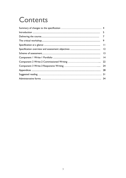## Contents

| 9               |
|-----------------|
|                 |
| 2               |
| $\overline{13}$ |
| 4               |
| 22              |
|                 |
| 28              |
| 31              |
|                 |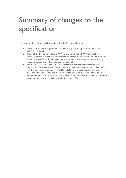### Summary of changes to the specification

This new version of the specification includes the following changes:

- 1. There is no longer a requirement to include any drafts of pieces submitted for WRITE-1: Portfolio
- 2. Three of the five commissions in WRITE-2 Commissioned Writing will always specify the form in which the candidate should respond; the other two will allow for a free choice of form. A basic principle will be to include a range of forms among those commissions in which the form is specified.
- 3. The STIMULUS TEXTS for WRITE-3 Responsive Writing will remain on the specification for three years. The set texts for the examination series in May 2020 will therefore remain as the STIMULUS TEXTS for the examination sessions in May 2021 and May 2022. They may also be used for any candidate who wishes to sit examined units in October 2020. STIMULUS TEXTS for 2023-2025 will be published as an addendum to this specification in September 2021.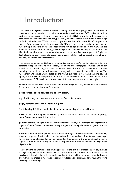### 1 Introduction

This linear AFA syllabus makes Creative Writing available as a programme in the Post-16 curriculum, and is intended to stand at an equivalent level to other GCE qualifications. It is designed to encourage aspiring writers to develop their skills in a way that will prepare them for further study at university level and, potentially, as professional writers within a wide range of fields and industries. While it is not at present on the UCAS tariff, UCAS do publish a profile of the programme on their website (the EIP), and there is anecdotal experience of the AFA acting in support of students' applications for college admission in the USA and the Republic of Ireland, and for undergraduate English and Creative Writing programmes in the UK. Students who found creative writing to be one of their favoured aspects of English at GCSE level may now continue to study writing as part of their further education, whether or not they take it any further afterwards.

This course complements GCE courses in English Language and/or English Literature, but is a separate discipline, with its own history, traditions and pedagogical practice, and it can therefore be studied alongside these related disciplines. But it is also accessible to students pursuing courses in sciences, humanities, or any other combination of subject areas. The Assessment Objectives are modelled on the AS/A2 qualification in Creative Writing devised by AQA, and which sadly expired in 2018, and on models used to assess achievement in other creative arts at GCE Level, but is also a new, distinctive programme in its own right.

Students will be required to read, study and write a range of texts, defined here as different forms. In this course, there are four forms

#### **prose fiction; prose non-fiction; poetry; script.**

any of which may be conceived and written for five distinct media:

#### **page, performance, radio, screen, digital.**

The following definitions may be helpful to an understanding of this specification:

form: a type of writing characterised by distinct structural features; for example: poetry; prose fiction; prose non-fiction; script

**genre**: a specific sub-style of one of the four forms of writing: for example, bildungsroman is a genre of prose fiction; confessional poetry is a genre of poetry; the essay is a genre of prose non-fiction

**medium**: the method of production via which writing is received by readers: for example, tragedy is a genre of script which may be written for the medium of performance on stage; horror is a genre of script that can be written for the medium of the screen; travel writing is a genre of non-fiction that may be intended for publication on the medium of the page or on digital media.

The course makes a virtue of the drafting process, of the fact that professional writing evolves through many stages, all of which involve close attention to aspects of craft, accuracy and precision. It is underpinned by an understanding that in seeking to express what is thought and felt writers engage in rigorous processes of reflection and editing, so as to match the word precisely to the thought.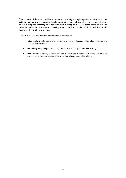This process of discovery will be experienced primarily through regular participation in the **critical workshop**, a pedagogical technique that is essential to delivery of the specification. By examining and referring to both their own writing, and that of their peers, as well as published examples, students will develop their critical and analytical skills, and this should inform all the work they produce.

This AFA in Creative Writing expects that students will:

- **write** regularly and often, exploring a range of forms and genres and developing increasingly skilful technical control
- **read** widely and perceptively in a way that informs and shapes their own writing
- **share** their own writing, and their opinions of the writing of others, with their peers, learning to give and receive constructive criticism and developing their editorial skills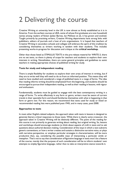### 2 Delivering the course

Creative Writing at university level in the UK is now almost as firmly established as it is in America. From the earliest courses at UEA, some of whose first graduates are now household names among readers of fiction (Julian Barnes, Ian McEwan et al), it has grown and evolved. Taught primarily by practising writers, Creative Writing departments have strong links with publishers, editors of journals and a host of arts organisations. It is hoped that teachers of Creative Writing in secondary schools and colleges will embrace the spirit of this tradition by considering themselves as writers working in tandem with their students. This includes presenting works-in-progress for discussion and critique at the **critical workshop.**

Other than those listed as STIMULUS TEXTS in the pre-release material for WRITE-3, there are no set texts, so there is plenty of scope for teachers and students to explore their own interests in writing. Nonetheless, there are some general principles and guidelines to assist teachers in making appropriate choices of published writing for study.

#### **Texts for study and independent reading**

There is ample flexibility for students to explore their own areas of interest in writing, but if they are to write well they will need to do so from an informed position. This means they will need to have studied and considered a range of published texts in a range of forms. The idea that reading informs writing should be emphasised from the beginning, and students should be encouraged to pursue their independent reading, as well as their reading in lessons, with vigour and enthusiasm.

Fundamentally, students must be guided to engage with the best contemporary writing in a range of forms. To write effectively in any form or genre, writers must be aware of current trends in their specialist form and should familiarise themselves with what is happening in that form or genre *now*. For this reason, we recommend that texts used for study or listed on recommended reading lists were published post-1945, and in many cases, post-2000.

#### **Approaches to texts**

In most other English-related subjects, the approach taken with texts in lessons is designed to generate literary critical responses to those texts. While there is clearly some crossover, the approach taken in Creative Writing will be distinctly different. The point of the reading for this course is not primarily to generate writing about reading, but original writing. So, lessons and workshops should encourage students to think about aspects of craft in texts and to ask questions about authorial decision-making. Consideration of the ways in which a text subverts generic conventions, or how a writer creates and sustains a distinctive narrative voice, or plays with narrative perspective, or employs particular strategies in characterisation, will be more productive than, say, considering the possible ways of interpreting a particular simile or metaphor. That's not to say that consideration of figurative language in texts won't be a feature of the course, merely that the purpose of such consideration will be to inform students' own attempts to *employ* figurative language, rather than to take an interpretive stance towards it.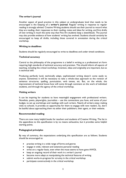#### **The writer's journal**

Another aspect of good practice in this subject at undergraduate level that needs to be encouraged is the keeping of a **writer's journal**. Regular writing in response to regular reading is strongly advised. Creative Writing students should use their journal to record what they are reading, their responses to their reading, notes and ideas for writing, and first drafts of new writing in much the same way that Fine Art students keep a sketchbook. The journal may also provide evidence of how students' writing has evolved. Students should certainly be encouraged to keep all drafts, including those covered in annotation during the critical workshop.

#### **Writing to deadlines**

Students should be regularly encouraged to write to deadlines and under timed conditions.

#### **Technical accuracy**

Central to the philosophy of the programme is a belief in writing as a professional art form requiring high standards of technical accuracy and precision. This should inform all aspects of teaching, including the critical workshop. Invention, ideas and originality are important, but so is technical skill.

Producing perfectly lucid, technically adept, sophisticated writing doesn't come easily to anyone. Sometimes it will be necessary to take a whole-class approach to the revision of sentence structures, spelling, punctuation, verb tenses, etc. But, on the whole, the improvement of technical know-how will come through comment on the work of individual students, and through the agency of the critical workshop.

#### **Visiting writers**

It can be inspiring for students to have meaningful engagement with professional writers. Novelists, poets, playwrights, journalists – use the connections you have, and some of your budget, to set up workshops and readings with such writers. Nearly all writers enjoy making visits to schools. It provides an opportunity for them to engage with new readers. So, don't be bashful about approaching them via either their publishers, their agent, or their website.

#### **Recommended reading**

There are now many helpful books for teachers and students of Creative Writing. The list in the appendices to this specification is by no means exhaustive, but it provides some helpful starting points.

#### **Pedagogical principles**

By way of summary, the expectations underlying this specification are as follows. Students should be encouraged to:

- practise writing in a wide range of forms and genres
- engage in wide, relevant and extensive personal reading
- write on a regular basis, even when the muse seems to have gone AWOL
- keep an ongoing record of their work in a writer's journal
- become more adept at manipulating the technical features of writing
- submit works-in-progress for scrutiny in the critical workshop
- participate constructively in the critical workshop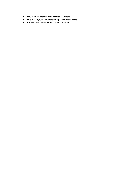- view their teachers and themselves as writers
- have meaningful encounters with professional writers
- write to deadlines and under timed conditions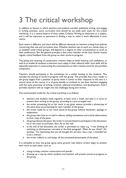### 3 The critical workshop

In addition to lessons in which teachers and students consider published writing, and engage in writing activities, some curriculum time should be set aside each week for the critical workshop. It is a central feature of what makes Creative Writing so distinctive as a subject, and it will be important to persevere in finding a way to make it work effectively in your centre.

Each centre is different, and there will be different demands on teachers arising from policies concerning class size and curriculum time. Whether teachers opt to work as a whole class, or to establish small critical groups, will depend to a degree on their circumstances as much as their preferences. But the general principle is that every member of the class should receive regular critical feedback from the group on their works-in-progress.

The giving and receiving of constructive criticism helps to build maturity and confidence, as well as to enable all students to become more adept in their editorial skills. Such skills will be especially important in constructing the commentaries on their creative work for the portfolio component.

Teachers should participate in the workshops on a similar footing to the students. This includes the sharing of works-in-progress with the group. The principle that every reader in the group begins from a position of parity when it comes to their response to the text is a central tenet of the course. It is of great benefit to students to see their teachers engaging with the same processes of writing, criticism, editorial emendation, and development. And it provides teachers with an insight into the challenges facing new writers.

The *recommended* model for the critical workshop is as follows:

- teachers and students meet regularly, at least once a week, and take it in turns to present their writing to the group, according to a pre-arranged rota
- the writer presenting his or her work in any given session provides a photocopy of the piece they are presenting for each member of the group
- the writer reads his or her work aloud to the group without disclaimer, apology or explanation
- the group take time to re-read in silence, adding annotations and critical observations to their copy of the piece
- the group discuss the piece; the writer is not permitted to participate in the discussion: he or she must sit and listen, like a fly on the wall
- at the end of the discussion the writer is permitted to reply: e.g. "I was thinking of switching to third-person narrative in the final paragraph. What do you think?" Or, perhaps, "It's interesting that you all thought the narrator was a man. I intended her to be a woman."
- the writer collects in, and keeps, all the annotated photocopies of the piece.

It is advisable to have the group agree some ground rules before writers begin to present their work to each other, such as

- trying to keep criticism constructive and specific
- drawing up a rota by which students and teachers will present works-in-progress to the group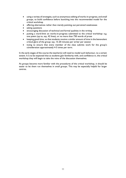- using a variety of strategies, such as anonymous editing of works-in-progress, and small groups, to build confidence before launching into the recommended model for the critical workshop
- offering alternatives rather than merely pointing out perceived weaknesses
- asking questions
- encouraging discussion of technical and formal qualities in the writing
- putting a word-limit on works-in-progress submitted to the critical workshop: e.g. one poem (up to, say, 42 lines), or no more than 750 words of prose
- keeping good time, so that students receive a similar amount of time in the benevolent critical glare of the group: say, 15-20 minutes per writer per session
- trying to ensure that every member of the class submits work for the group's consideration approximately 4-5 times per term.

In the early stages of the course the teacher(s) will need to model such behaviour, to a certain extent. It is to be expected that as students gain familiarity with, and confidence in, the critical workshop they will begin to take the reins of the discussion themselves.

As groups become more familiar with the procedures of the critical workshop, it should be easier to let them run themselves in small groups. This may be especially helpful for larger centres.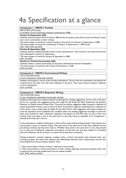## 4a Specification at a glance

#### **Component 1 – WRITE-1 Portfolio**

60% of AFA [120 marks]

A portfolio of work (internally assessed; moderated by WEB)

#### **Section A: Exploration [40]**

Students submit writing in three of the four different forms: poetry, prose fiction, prose non-fiction, script, and a short commentary on their writing.

The total number of words for creative writing in three forms for Section A: Exploration is 2,000.

The total number of words for commentary in Section A: Exploration is 1,000 words.

#### AO1, AO2, AO3 and AO4

#### **Section B: Specialism [40]**

Students submit an additional body of work in their specialist form. This must be in one of the three forms they submitted for Section A: Exploration.

The total number of words for Section B: Specialism is 3,000.

AO1 and AO2

#### **Section C: Critical Commentary [40]**

Students submit a critical commentary on the piece submitted for Section B: Specialism. The total number of words for the Critical Commentary is 1,500. AO3 and AO4

#### **Component 2 – WRITE-2 Commissioned Writing**

15% of AFA [40 marks]

2 hour examination (externally marked)

Students will be given a choice of five writing commissions. Three of the five commissions will specify the required form; the other two will invite responses in any form. They must produce writing in response to two commissions.

AO1 and AO2

#### **Component 3 – WRITE-3 Responsive Writing**

25% of AFA [40 marks]

3 hour closed-book examination (externally marked)

Students will be given pre-release material comprising four reading suggestions, one for each of the four forms. For example, the suggested poetry text might be *My Family and Other Superheroes* by Jonathan Edwards, or *Division Street* by Helen Mort. The prose non-fiction suggestion might comprise a selection of essays by Jonathan Franzen, such as *How to be Alone*. Prose fiction might be represented by a collection of short stories, such as *Lying Under the Apple Tree* by Alice Munro. Each suggestion will require students to read the equivalent of one published text. Students select one reading suggestion and begin to study the given text, looking for ideas, influences, inspiration and aspects of craft that they can use in their own writing. They may select a text in the same form as that they chose to specialise in for Component 1 Section B, but they don't have to.

In the examination, students will be given a choice of five, open-ended writing prompts. They choose one, and produce a piece of creative writing. They may write in the same form as the text studied from the pre-release material, but they don't have to. Whether they write in the same form or not, they should try to make use of influences, inspiration and aspects of craft from the text they studied. It is intended that such influences can be as loose, as creative and as personal as necessary.

Having produced a creative response, students write a critical commentary that examines their own writing processes, and which also explores the relationships between their creative piece and the text they studied from the pre-release material. Thus:

i. They must produce creative writing in response to one prompt. ii. They must produce a critical commentary on their writing, exploring connections between their own writing and the text they studied from the pre-release booklet. AO1, AO2, AO3 and AO4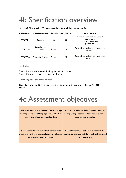## 4b Specification overview

For WEB AFA Creative Writing, candidates take all three components.

| Component      | Component name            | <b>Duration</b> | Weighting (%) | <b>Type of assessment</b>                                                              |
|----------------|---------------------------|-----------------|---------------|----------------------------------------------------------------------------------------|
| <b>WRITE-I</b> | Portfolio                 | n/a             | 60            | Internally monitored and marked<br>coursework<br>externally moderated<br>$[120$ marks] |
| <b>WRITE-2</b> | Commissioned<br>Writing   | 2 hours         | 15            | Externally set and marked examination<br>$[40$ marks]                                  |
| WRITE-3        | <b>Responsive Writing</b> | 3 hours         | 25            | Externally set and marked examination<br>$[40$ marks]                                  |

Availability

П

This syllabus is examined in the May examination series. This syllabus is available to private candidates.

Combining this with other courses

Candidates can combine this specification in a series with any other GCE and/or BTEC courses.

### 4c Assessment objectives

| AOI: Communicate and develop ideas through                                    | AO2: Communicate lucidly in fluent, cogent                                                                                                                            |
|-------------------------------------------------------------------------------|-----------------------------------------------------------------------------------------------------------------------------------------------------------------------|
| an imaginative use of language and an effective                               | writing, with professional standards of technical                                                                                                                     |
| use of formal and structural devices                                          | accuracy and precision                                                                                                                                                |
| AO3: Demonstrate a critical relationship with<br>on editorial decision making | AO4: Demonstrate critical awareness of the<br>one's own writing processes, including reflection relationship between existing published work and<br>one's own writing |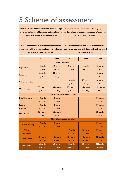### 5 Scheme of assessment

**AO1: Communicate and develop ideas through an imaginative use of language and an effective use of formal and structural devices** 

**AO2: Communicate lucidly in fluent, cogent writing, with professional standards of technical accuracy and precision**

**AO3: Demonstrate a critical relationship with one's own writing processes, including reflection relationship between existing published work and on editorial decision making AO4: Demonstrate critical awareness of the one's own writing** 

|                            | <b>AOI</b> | <b>AO2</b>                         | <b>AO3</b> | <b>AO4</b> | <b>Total</b> |
|----------------------------|------------|------------------------------------|------------|------------|--------------|
| <b>Unit I Portfolio</b>    |            |                                    |            |            |              |
| <b>Exploration</b>         | 15 marks   | 15 marks                           | 5 marks    | 5 marks    | 40 marks     |
|                            | (7.5%)     | (7.5%)                             | (2.5%)     | (2.5%)     | (20%)        |
|                            | 20 marks   | 20 marks                           |            |            | 40 marks     |
| Specialism                 | (10%)      | (10%)                              |            |            | (20%)        |
| <b>Critical Reflection</b> |            |                                    | 20 marks   | 20 marks   | 40 marks     |
|                            |            |                                    | (10%)      | (10%)      | (20%)        |
| <b>Unit I Total</b>        | 35 marks   | 35 marks                           | 25 marks   | 25 marks   | 120 marks    |
|                            | (17.5%)    | (17.5%)                            | (12.5%)    | (12.5%)    | (60%)        |
|                            |            | <b>Unit 2 Commissioned Writing</b> |            |            |              |
| <b>First Commission</b>    | 10 marks   | 10 marks                           |            |            | 20 marks     |
|                            | (3.75%)    | (3.75%)                            |            |            | (7.5%)       |
| Second                     | 10 marks   | 10 marks                           |            |            | 20 marks     |
| Commission                 | (3.75%)    | (3.75%)                            |            |            | (7.5%)       |
|                            | 20 marks   | 20 marks                           |            |            | 40 marks     |
| <b>Unit 2 Total</b>        | (7.5%)     | (7.5%)                             |            |            | (15%)        |
|                            |            | <b>Unit 3 Responsive Writing</b>   |            |            |              |
| <b>Creative Writing</b>    | 10 marks   | 10 marks                           |            |            | 20 marks     |
|                            | (6.25%)    | (6.25%)                            |            |            | (12.5%)      |
| Critical                   |            |                                    | 10 marks   | 10 marks   | 20 marks     |
| Commentary                 |            |                                    | (6.25%)    | (6.25%)    | (12.5%)      |
| <b>Unit 3 Total</b>        | 10 marks   | 10 marks                           | 10 marks   | 10 marks   | 40 marks     |
|                            | (6.25%)    | (6.25%)                            | (6.25%)    | (6.25%)    | (25%)        |
| <b>AFA Total</b>           | 65 marks   | 65 marks                           | 35 marks   | 35 marks   | 200 marks    |
|                            | (32.5%)    | (32.5%)                            | (17.5%)    | (17.5%)    | (100%)       |
|                            |            |                                    |            |            |              |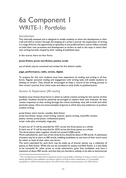### 6a Component 1 WRITE-1: Portfolio

#### Introduction

This internally assessed unit is designed to enable students to show the development in their craft and skill as writers through the keeping of a writer's journal, the exploration of writing in a range of forms, the opportunity to specialise in one preferred form, and to reflect critically on both their own processes and development as writers as well as the ways in which their own writing has been shaped by their reading of published texts.

In this course, there are four forms

#### **prose fiction; prose non-fiction; poetry; script**

any of which may be conceived and written for five distinct media:

#### **page, performance, radio, screen, digital.**

To prepare for this unit, students must have experience of reading and writing in all four forms. Regular personal reading and engagement with writing tasks will enable students to develop as writers. They should be encouraged to keep a record of the writing process in their writer's journal, from initial notes and ideas to early drafts to polished pieces.

#### Section A: Exploration [40 marks]

Students must choose three forms in which to submit creative writing for this section of their portfolio. Students should be positively encouraged to explore their own interests. As they receive responses to their writing through the critical workshop, they will re-draft and refine particular pieces. Here are some examples of genres in which they may endeavour to produce creative writing:

prose fiction: short stories, novellas, flash fiction<sup>1</sup> prose non-fiction: essays, travel writing, memoir, sports writing, music/film reviews poetry: sonnet, prose-poem, confessional poetry script: radio play, screenplay, stage play

A mark out of 15 will be awarded for AO1 across the three pieces as a whole.

A mark out of 15 will be awarded for AO2 across the three pieces as a whole.

The three pieces taken together should not exceed 2,000 words.

Work submitted for each one of the three forms should be about 6-700 words. A submission of poetry may be as short as 400 words, enabling candidates to use more of their word count for either or both of their other two forms.

The work submitted for each form may be made up of shorter pieces: e.g. a collection of poems or flash fiction. While this can be successful for poetry and flash fiction, it is less likely to be successful for other prose or script submissions, given that candidates only have a maximum of about 900 words, and that they are therefore unlikely to be able to demonstrate

<sup>&</sup>lt;sup>1</sup> The overlap between flash fiction and prose-poetry is potentially confusing. So long as creative work is clearly identified, and candidates can discuss aspects of form in their commentary, it is potentially acceptable to submit short prose pieces for either form, either as prose-poems or as flash fiction.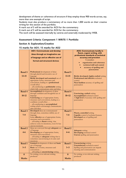development of theme or coherence of structure if they employ those 900 words across, say, more than one example of script.

Students must also produce a commentary of no more than 1,000 words on their creative writing for this section of the portfolio.

A mark out of 5 will be awarded for AO3 for the commentary.

A mark out of 5 will be awarded for AO4 for the commentary.

The work will be assessed internally by centres and externally moderated by WEB.

#### **Assessment Criteria: Component 1 WRITE-1 Portfolio**

#### **Section A: Exploration/Creative**

#### **15 marks for AO1; 15 marks for AO2**

|                            | <b>AOI: Communicate and develop</b><br>ideas through an imaginative use<br>of language and an effective use of<br>formal and structural devices                                                                                                                                                                              |                            | <b>AO2: Communicate lucidly in</b><br>fluent, cogent writing, with<br>professional standards of technical<br>accuracy and precision<br>Consider:<br>organisation and coherence<br>technical skill and control<br>accuracy of spelling and<br>punctuation |
|----------------------------|------------------------------------------------------------------------------------------------------------------------------------------------------------------------------------------------------------------------------------------------------------------------------------------------------------------------------|----------------------------|----------------------------------------------------------------------------------------------------------------------------------------------------------------------------------------------------------------------------------------------------------|
| <b>Band 5</b><br>$13 - 15$ | <b>Professional</b> development of ideas<br>through playful and inventive use of<br>language<br>Richly developed and sustained use of<br>appropriate forms, structures and<br>conventions, leading to a professional<br>overall affect<br>all contributing to publishable writing<br>which fully communicates aims and ideas | <b>Band 5</b><br>$13 - 15$ | Richly developed, highly-crafted writing<br><b>Professional and effective technical</b><br>control<br>Near faultless accuracy of spelling and<br>punctuation                                                                                             |
| Band 4<br>$10 - 12$        | Accomplished development of ideas<br>through confident and thoughtful use of<br>language<br><b>Convincing</b> use of appropriate forms,<br>structures and conventions, leading to a<br>confident overall effect<br>all contributing to accomplished<br>writing which convincingly communicates<br>aims and ideas             | <b>Band 4</b><br>$10 - 12$ | <b>Convincing, crafted writing</b><br><b>Accomplished</b> technical control<br>A high level of accuracy with spelling and<br>punctuation                                                                                                                 |
| <b>Band 3</b><br>$7-9$     | Developed ideas are communicated<br>through clear, sometimes skilful, use of<br>language<br>Some effective use of appropriate forms,<br>structures and conventions<br>all leading to fluent writing that<br>achieves some its intentions, even if it has<br>uneven moments                                                   | <b>Band 3</b><br>$7-9$     | <b>Fluent, controlled</b> writing<br><b>Capable</b> control of technical features<br>Developed use of spelling and<br>punctuation                                                                                                                        |
| <b>Band 2</b><br>$4-6$     | Ideas are conveyed through adequate use<br>of language<br>Developing use of appropriate forms,<br>structures and conventions<br>all leading to adequate writing that is<br>sometimes unconvincing in its aims and<br>intentions                                                                                              | <b>Band 2</b><br>$4 - 6$   | <b>Adequate</b> writing<br>Developing technical control<br><b>Uneven</b> spelling and punctuation                                                                                                                                                        |
| <b>Band 1</b><br>$1 - 3$   | Limited development of ideas and basic<br>use of language<br>Basic use of forms, structures and<br>conventions<br>all leading to <b>unconvincing</b> writing                                                                                                                                                                 | <b>Band 1</b><br>$1 - 3$   | <b>Unconvincing</b> writing<br><b>Unsatisfactory</b> technical control<br>Spelling and punctuation can impede<br>meaning and communication                                                                                                               |
| $\bf{0}$<br><b>Marks</b>   | No writing, or no relevant writing,<br>produced                                                                                                                                                                                                                                                                              | $\bf{0}$<br><b>Marks</b>   | No writing, or no relevant writing,<br>produced                                                                                                                                                                                                          |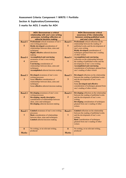#### **Assessment Criteria: Component 1 WRITE-1 Portfolio**

#### **Section A: Exploration/Commentary**

**5 marks for AO3; 5 marks for AO4** 

| <b>Band 5</b>                            | <b>AO3: Demonstrate a critical</b><br>relationship with one's own writing<br>processes, including reflection on<br>editorial decision making<br>Professional critical awareness of one's                                 | <b>Band 5</b>                   | <b>AO4: Demonstrate critical</b><br>awareness of the relationship<br>between existing published work<br>and one's own writing<br>Professional critical reflection on the                                                                                                       |
|------------------------------------------|--------------------------------------------------------------------------------------------------------------------------------------------------------------------------------------------------------------------------|---------------------------------|--------------------------------------------------------------------------------------------------------------------------------------------------------------------------------------------------------------------------------------------------------------------------------|
| 5                                        | own writing processes<br>Richly developed consideration of<br>relationships between ideas, aims and<br>techniques<br>Highly effective editorial decision<br>making                                                       | 5                               | relationship between the reading of<br>published works and the development of<br>one's own writing<br><b>Richly developed consideration of</b><br>techniques gleaned from one's reading<br>of other writers                                                                    |
| <b>Band 4</b><br>$\overline{\mathbf{4}}$ | <b>Accomplished and convincing</b><br>awareness of one's own writing<br>processes<br>Convincing consideration of<br>relationships between ideas, aims and<br>techniques<br><b>Accomplished</b> editorial decision making | Band 4<br>4                     | <b>Accomplished and convincing</b><br>reflection on the relationship between<br>the reading of published works and the<br>development of one's own writing<br><b>Accomplished and convincing</b><br>consideration of techniques gleaned from<br>one's reading of other writers |
| <b>Band 3</b><br>3                       | Developed awareness of one's own<br>writing processes<br>Some effective consideration of<br>relationships between ideas, aims and<br>techniques<br>Some effective editorial decision making                              | <b>Band 3</b><br>3              | <b>Developed</b> reflection on the relationship<br>between the reading of published works<br>and the development of one's own<br>writing<br>Some developed and effective<br>consideration of techniques gleaned from<br>one's reading of other writers                         |
| <b>Band 2</b><br>$\overline{2}$          | Developing awareness of one's own<br>writing processes<br>Developing, mostly descriptive<br>consideration of relationships between<br>ideas, aims and techniques<br>Developing editorial decision making                 | <b>Band 2</b><br>$\overline{2}$ | Developing reflection on the relationship<br>between the reading of published works<br>and the development of one's own<br>writing<br><b>Developing</b> consideration of techniques<br>gleaned from one's reading of other<br>writers                                          |
| <b>Band 1</b><br>$\overline{1}$          | Limited awareness of one's own writing<br>processes<br><b>Basic</b> consideration of relationships<br>between ideas, aims and techniques<br>Limited editorial decision making                                            | <b>Band 1</b><br>$\mathbf{1}$   | Limited reflection on the relationship<br>between the reading of published works<br>and the development of one's own<br>writing<br><b>Basic</b> consideration of techniques<br>gleaned from one's reading of other<br>writers                                                  |
| $\bf{0}$<br><b>Marks</b>                 | No writing, or no relevant writing,<br>produced                                                                                                                                                                          | $\bf{0}$<br><b>Marks</b>        | No writing, or no relevant writing,<br>produced                                                                                                                                                                                                                                |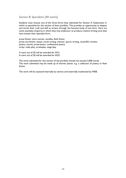#### Section B: Specialism [40 marks]

Students must choose one of the three forms they submitted for Section A: Exploration in which to specialise for this section of their portfolio. This provides an opportunity to deepen and enrich their craft and skill as writers through the focused study of one form. Here are some examples of genres in which they may endeavour to produce creative writing once they have chosen their specialist form:

prose fiction: short stories, novellas, flash fiction prose non-fiction: essays, travel writing, memoir, sports writing, music/film reviews poetry: sonnet, prose-poem, confessional poetry script: radio play, screenplay, stage play

A mark out of 20 will be awarded for AO1. A mark out of 20 will be awarded for AO2.

The work submitted for this section of the portfolio should not exceed 3,000 words. The work submitted may be made up of shorter pieces: e.g. a collection of poetry or flash fiction.

The work will be assessed internally by centres and externally moderated by WEB.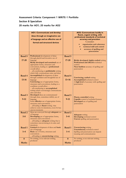#### **Assessment Criteria: Component 1 WRITE-1 Portfolio Section B Specialism 20 marks for AO1; 20 marks for AO2**

|                            | <b>AOI: Communicate and develop</b><br>ideas through an imaginative use<br>of language and an effective use of<br>formal and structural devices                                                                                                                                                                       |                            | <b>AO2: Communicate lucidly in</b><br>fluent, cogent writing, with<br>professional standards of technical<br>accuracy and precision<br>Consider:<br>organisation and coherence<br>technical skill and control<br>accuracy of spelling and<br>punctuation |
|----------------------------|-----------------------------------------------------------------------------------------------------------------------------------------------------------------------------------------------------------------------------------------------------------------------------------------------------------------------|----------------------------|----------------------------------------------------------------------------------------------------------------------------------------------------------------------------------------------------------------------------------------------------------|
| <b>Band 5</b><br>$17 - 20$ | Professional development of ideas<br>through playful and inventive use of<br>language<br>Richly developed and sustained use of<br>appropriate forms, structures and<br>conventions, leading to a professional<br>overall affect<br>all contributing to publishable writing<br>which fully communicates aims and ideas | Band 5<br>$17 - 20$        | Richly developed, highly-crafted writing<br>Professional and effective technical<br>control<br>Near faultless accuracy of spelling and<br>punctuation                                                                                                    |
| <b>Band 4</b><br>$13 - 16$ | Accomplished development of ideas<br>through confident and thoughtful use of<br>language<br>Convincing use of appropriate forms,<br>structures and conventions, leading to a<br>confident overall affect<br>all contributing to accomplished<br>writing which convincingly communicates<br>aims and ideas             | <b>Band 4</b><br>$13 - 16$ | <b>Convincing, crafted writing</b><br><b>Accomplished</b> technical control<br>A high level of accuracy with spelling and<br>punctuation                                                                                                                 |
| <b>Band 3</b><br>$9-12$    | Developed ideas are communicated<br>through clear, sometimes skilful, use of<br>language<br>Some effective use of appropriate forms,<br>structures and conventions<br>all leading to fluent writing that<br>achieves some its intentions, even if it has<br>uneven moments                                            | Band 3<br>$9-12$           | Fluent, controlled writing<br><b>Capable</b> control of technical features<br>Developed use of spelling and<br>punctuation                                                                                                                               |
| <b>Band 2</b><br>$5 - 8$   | Ideas are conveyed through adequate use<br>of language<br>Developing use of appropriate forms,<br>structures and conventions<br>all leading to adequate writing that is<br>sometimes unconvincing in its aims and<br>intentions                                                                                       | <b>Band 2</b><br>$5 - 8$   | <b>Adequate</b> writing<br>Developing technical control<br><b>Uneven</b> spelling and punctuation                                                                                                                                                        |
| <b>Band 1</b><br>$1 - 4$   | Limited development of ideas and basic<br>use of language<br>Basic use of forms, structures and<br>conventions<br>all leading to <b>unconvincing</b> writing                                                                                                                                                          | <b>Band 1</b><br>$1 - 4$   | <b>Unconvincing</b> writing<br>Unsatisfactory technical control<br>Spelling and punctuation can impede<br>meaning and communication                                                                                                                      |
| $\bf{0}$<br><b>Marks</b>   | No writing, or no relevant writing,<br>produced                                                                                                                                                                                                                                                                       | $\bf{0}$<br><b>Marks</b>   | No writing, or no relevant writing,<br>produced                                                                                                                                                                                                          |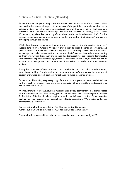#### Section C: Critical Reflection [40 marks]

Students are encouraged to keep a writer's journal over the two years of the course. It does not need to be submitted as part of this section of the portfolio, but students who keep a detailed writer's journal, including any annotated copies of their own writing which they have harvested from the critical workshop, will find the process of writing their Critical Commentary significantly more straightforward and productive than those who don't. For this reason, teachers are encouraged to keep a weather eye on how their students' journals are developing through the course.

While there is no suggested word limit for the writer's journal, it ought to reflect two years' independent study of Creative Writing. It should include initial thoughts, observations, and plans; reference to the student's own writing processes, including specific mention of critical workshops; and reflection and critical comment on the influence of their independent reading on their own writing. It probably should include a bibliography of their reading. It might also include reviews of poetry readings, gigs, theatrical performances and films, or prose non-fiction accounts of sporting events, and other styles of journalism, or detailed studies of particular writers.

It may be comprised of one or more actual notebooks, and could also include a folder, sketchbook or blog. The physical presentation of the writer's journal can be a matter of student preference, and will probably reflect each student's identity as a writer.

Students should certainly keep every copy of the works-in-progress annotated by their fellows in the critical workshops. These drafts and marginalia will be invaluable in endeavouring to fulfil the criteria for AO3.

Working from their journals, students must submit a critical commentary that demonstrates critical awareness of their own writing process and influences with specific regard to Section B: Specialism. This should include: inspiration and aims; influences; choice of form; creative problem solving; responding to feedback and editorial suggestions. Word guidance for the commentary is 1,500 words.

A mark out of 20 will be awarded for AO3 for the Critical Commentary. A mark out of 20 will be awarded for AO4 for the Critical Commentary.

The work will be assessed internally by centres and externally moderated by WEB.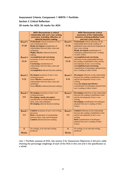#### **Assessment Criteria: Component 1 WRITE-1 Portfolio**

#### **Section C Critical Reflection**

#### **20 marks for AO3; 20 marks for AO4**

|               | <b>AO3: Demonstrate a critical</b>                                       |               | <b>AO4: Demonstrate critical</b>                                                    |
|---------------|--------------------------------------------------------------------------|---------------|-------------------------------------------------------------------------------------|
|               | relationship with one's own writing                                      |               | awareness of the relationship                                                       |
|               | processes, including reflection on                                       |               | between existing published work                                                     |
|               | editorial decision making                                                |               | and one's own writing                                                               |
| Band 5        | <b>Professional</b> critical awareness of one's                          | <b>Band 5</b> | <b>Professional</b> critical reflection on the                                      |
|               | own writing processes                                                    |               | relationship between the reading of                                                 |
| $17 - 20$     | Richly developed consideration of                                        | $17 - 20$     | published works and the development of                                              |
|               | relationships between ideas, aims and                                    |               | one's own writing                                                                   |
|               | techniques                                                               |               | <b>Richly developed consideration of</b>                                            |
|               | Highly effective editorial decision                                      |               | techniques gleaned from one's reading                                               |
|               | making                                                                   |               | of other writers                                                                    |
| Band 4        | <b>Accomplished and convincing</b>                                       | <b>Band 4</b> | <b>Accomplished and convincing</b>                                                  |
|               | awareness of one's own writing                                           |               | reflection on the relationship between                                              |
| $13 - 16$     | processes                                                                | $13 - 16$     | the reading of published works and the                                              |
|               | <b>Convincing</b> consideration of                                       |               | development of one's own writing                                                    |
|               | relationships between ideas, aims and                                    |               | <b>Accomplished and convincing</b>                                                  |
|               | techniques                                                               |               | consideration of techniques gleaned from                                            |
|               | <b>Accomplished</b> editorial decision making                            |               | one's reading of other writers                                                      |
|               |                                                                          |               |                                                                                     |
| <b>Band 3</b> | Developed awareness of one's own                                         | <b>Band 3</b> | Developed reflection on the relationship                                            |
|               | writing processes                                                        |               | between the reading of published works                                              |
| $9-12$        | Some effective consideration of                                          | $9-12$        | and the development of one's own                                                    |
|               | relationships between ideas, aims and                                    |               | writing                                                                             |
|               | techniques                                                               |               | Some developed and effective                                                        |
|               | Some effective editorial decision making                                 |               | consideration of techniques gleaned from                                            |
|               |                                                                          |               | one's reading of other writers                                                      |
|               |                                                                          |               |                                                                                     |
| <b>Band 2</b> | Developing awareness of one's own                                        | Band 2        | Developing reflection on the relationship<br>between the reading of published works |
| $5 - 8$       | writing processes                                                        | $5 - 8$       | and the development of one's own                                                    |
|               | Developing, mostly descriptive<br>consideration of relationships between |               | writing                                                                             |
|               | ideas, aims and techniques                                               |               | <b>Developing consideration of techniques</b>                                       |
|               | Developing editorial decision making                                     |               | gleaned from one's reading of other                                                 |
|               |                                                                          |               | writers                                                                             |
|               |                                                                          |               |                                                                                     |
| <b>Band 1</b> | Limited awareness of one's own writing                                   | <b>Band 1</b> | Limited reflection on the relationship                                              |
|               | processes                                                                |               | between the reading of published works                                              |
| $1-4$         | <b>Basic</b> consideration of relationships                              | $1 - 4$       | and the development of one's own                                                    |
|               | between ideas, aims and techniques                                       |               | writing                                                                             |
|               | Limited editorial decision making                                        |               | <b>Basic</b> consideration of techniques                                            |
|               |                                                                          |               | gleaned from one's reading of other                                                 |
|               |                                                                          |               | writers                                                                             |
|               |                                                                          |               |                                                                                     |
| $\bf{0}$      | No writing, or no relevant writing,                                      | $\bf{0}$      | No writing, or no relevant writing,                                                 |
|               | produced                                                                 |               | produced                                                                            |
| <b>Marks</b>  |                                                                          | <b>Marks</b>  |                                                                                     |

Unit 1: Portfolio assesses all AOs. See section 5 for Assessment Objectives in full and a table showing the percentage weightings of each of the AOs in this unit and in the specification as a whole.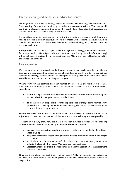#### Internal marking and moderation: advice for Centres

Marking should be positive, rewarding achievement rather than penalising failure or omissions. The awarding of marks must be directly related to the assessment criteria. Teachers should use their professional judgement to select the best-fit level descriptor that describes the student's work and use the full range of marks available.

If a candidate begins to meet some (if not all) of the criteria in a particular level their work may be awarded a mark in that level. Work that meets all the criteria in a level should be awarded a mark at the top of that level. Such work may even be beginning to meet criteria in the next level above.

A response will not be specifically penalised for being outside the suggested number of words. But a response that differs significantly from the word count (i.e. by more than 20% each way) will be self- penalising, either by not demonstrating the AOs to the required level or by lacking coherence and concision.

#### Final submission

Centres must carry out internal standardisation to ensure that marks awarded by different teachers are accurate and consistent across all candidates entered. In order to help set the standard of marking, centres should use exemplar material provided by WEB, and, where available, work in the centre from the previous year.

Where work for the portfolio has been marked by more than one teacher in a centre, standardisation of marking should normally be carried out according to one of the following procedures:

- **either** a sample of work that has been marked by each teacher is re-marked by the teacher who is in charge of internal standardisation
- **or** all the teachers responsible for marking portfolios exchange some marked work (preferably at a meeting led by the teacher in charge of internal standardisation) and compare their marking standards.

Where standards are found to be inconsistent, the relevant teacher(s) should make adjustment to their marks or re-mark all learners' work for which they were responsible.

Teachers must clearly show how the marks have been awarded in relation to the marking criteria. A combination of the following approaches should be adopted:

- summary comments either on the work (usually at the end) or on the Portfolio Cover Sheet (PCS-1)
- key pieces of evidence flagged throughout the work by annotation either in the margin or in the text
- marginalia should indicate where AOs have been met, but also employ words that indicate the level at which those AOs have been demonstrated
- all assessment should enable the moderator to check the application of the assessment criteria to the marking.

Once the final draft is submitted it must not be revised. Adding or removing any material to or from the work after it has been presented for final assessment would constitute malpractice.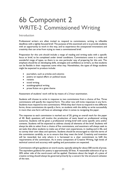### 6b Component 2 WRITE-2 Commissioned Writing

#### Introduction

Professional writers are often invited to respond to commissions, writing to inflexible deadlines with a tightly-focused brief. The purpose of this examined unit is to provide students with an opportunity to work in this way, and to experience the unexpected innovations and creativity that can arise from trying to meet a commissioned brief.

Preparation for this unit should include a range of reading and writing tasks with a specific focus or brief, to be completed under timed conditions. Commissions come in a wide and wonderful range of types, so there is no one particular way of preparing for this unit. The emphasis should be on developing skills, strategies and confidence as writers, so that students can be flexible in their responses come what may. Nonetheless, the types of things students might be expected to produce include:

- journalism, such as articles and columns
- poetry on topical affairs or political issues
- reviews
- travel writing
- autobiographical writing
- prose fiction on a given theme

Assessment of students' work will be by means of a 2-hour examination.

Students will choose to write in response to two commissions from a choice of five. Three commissions will specify the required form. The other two will invite responses in any form. Students must respond to two commissions. While they don't have to respond in two different forms, three commissions do specify a form, so students with the ability to write successfully in more than one form will have an advantage when it comes to navigating the paper.

The response to each commission is marked out of 20, giving an overall mark for the paper of 40. Both questions will involve the production of texts based on professional writing scenarios. Students will be given a professional writing brief with some specific aims and/or contexts. Students will be expected to address closely all elements of the brief. Students will always be able to select from a choice of five commissions, and examiners will always seek to set tasks that allow students to make use of their own experiences, in reading and in life, and to convey their own ideas and opinions. Students should be encouraged to read the terms of the commission carefully, so as to ensure that they meet the brief. Creativity and invention will be rewarded, but only where it is harnessed to a clear commitment to fulfil the requirements of the commission. As in every component of Creative Writing, high levels of technical control and accuracy with spelling and punctuation are expected.

Commissions will give guidance on word counts, typically asking for about 500 words of prose. The equivalent guidance for poetry is approximately 20 lines. A reasonable tolerance of up to 20% either side of the word-count will be applied. Decisions about the length of a piece of creative writing should always be governed primarily by a concern for the structural cohesion of the text.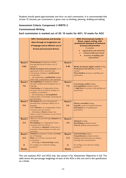Students should spend approximately one hour on each commission. It is recommended that *at least* 15 minutes, per commission, is given over to thinking, planning, drafting and editing.

#### **Assessment Criteria: Component 2 WRITE-2**

#### **Commissioned Writing**

**Each commission is marked out of 20: 10 marks for AO1; 10 marks for AO2**

|               | <b>AOI: Communicate and develop</b>                                                |               | <b>AO2: Communicate lucidly in</b>                                  |
|---------------|------------------------------------------------------------------------------------|---------------|---------------------------------------------------------------------|
|               | ideas through an imaginative use                                                   |               | fluent, cogent writing, with<br>professional standards of technical |
|               | of language and an effective use of                                                |               | accuracy and precision                                              |
|               | formal and structural devices                                                      |               | Consider:                                                           |
|               |                                                                                    |               | organisation and coherence<br>technical skill and control           |
|               |                                                                                    |               | accuracy of spelling and                                            |
|               |                                                                                    |               | punctuation                                                         |
|               |                                                                                    |               |                                                                     |
| <b>Band 5</b> | Professional development of ideas                                                  | <b>Band 5</b> |                                                                     |
| $9 - 10$      | through playful and inventive use of<br>language                                   | $9 - 10$      | Richly developed, highly-crafted writing                            |
|               | Richly developed and sustained use of                                              |               | Professional and effective technical                                |
|               | appropriate forms, structures and                                                  |               | control                                                             |
|               | conventions, leading to a professional                                             |               | Near faultless accuracy of spelling and                             |
|               | overall affect                                                                     |               | punctuation                                                         |
|               | all contributing to publishable writing<br>which fully communicates aims and ideas |               |                                                                     |
| Band 4        | <b>Accomplished</b> development of ideas                                           | Band 4        |                                                                     |
|               | through confident and thoughtful use of                                            |               | <b>Convincing, crafted writing</b>                                  |
| $7 - 8$       | language                                                                           | $7 - 8$       | Accomplished technical control                                      |
|               | Convincing use of appropriate forms,<br>structures and conventions, leading to a   |               | A high level of accuracy with spelling and<br>punctuation           |
|               | confident overall affect                                                           |               |                                                                     |
|               | all contributing to accomplished                                                   |               |                                                                     |
|               | writing which convincingly communicates                                            |               |                                                                     |
| <b>Band 3</b> | aims and ideas<br>Developed ideas are communicated                                 | <b>Band 3</b> |                                                                     |
|               | through clear, sometimes skilful, use of                                           |               | Fluent, controlled writing                                          |
| $5-6$         | language                                                                           | $5-6$         | <b>Capable</b> control of technical features                        |
|               | Some effective use of appropriate forms,                                           |               | Developed use of spelling and                                       |
|               | structures and conventions                                                         |               | punctuation                                                         |
|               | all leading to fluent writing that<br>achieves some its intentions, even if it has |               |                                                                     |
|               | uneven moments                                                                     |               |                                                                     |
| <b>Band 2</b> | Ideas are conveyed through adequate use                                            | <b>Band 2</b> |                                                                     |
|               | of language                                                                        |               | <b>Adequate</b> writing                                             |
| $3 - 4$       | Developing use of appropriate forms,<br>structures and conventions                 | $3 - 4$       | Developing technical control                                        |
|               | all leading to adequate writing that is                                            |               | <b>Uneven</b> spelling and punctuation                              |
|               | sometimes unconvincing in its aims and                                             |               |                                                                     |
|               | intentions                                                                         |               |                                                                     |
| <b>Band 1</b> | Limited development of ideas and basic<br>use of language                          | <b>Band 1</b> | <b>Unconvincing</b> writing<br>Unsatisfactory technical control     |
| $1 - 2$       | Basic use of forms, structures and                                                 | $1 - 2$       | Spelling and punctuation can impede                                 |
|               | conventions                                                                        |               | meaning and communication                                           |
|               | all leading to <b>unconvincing</b> writing                                         |               |                                                                     |
| $\bf{0}$      | No writing, or no relevant writing,                                                | $\bf{0}$      | No writing, or no relevant writing,                                 |
| <b>Marks</b>  | produced                                                                           | <b>Marks</b>  | produced                                                            |
|               |                                                                                    |               |                                                                     |

This unit assesses AO1 and AO2 only. See section 5 for Assessment Objectives in full. The table shows the percentage weightings of each of the AOs in this unit and in the specification as a whole.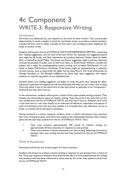### 4c Component 3 WRITE-3: Responsive Writing

#### Introduction

All writers are influenced by, and respond to, the work of other writers. This unit provides opportunities to study a sample of work by a particular writer, to produce creative writing in a preferred form, and to reflect critically on how one's own writing has been shaped by the study of another writer.

Students will be given the list of STIMULUS TEXTS FOR RESPONSIVE WRITING, comprising four reading suggestions, one for each of the four forms. For example, the suggested poetry text might be *My Family and Other Superheroes* by Jonathan Edwards, *Division Street* by Helen Mort or *Jackself* by Jacob Polley. The prose non-fiction suggestion might comprise selections of essays by Jonathan Franzen, such as *How to be Alone*, or David Foster Wallace's *Consider the Lobster*, but it might list autobiographical nature writing such as Helen MacDonald's *H is for Hawk* or Robert MacFarlane's *Landmarks*. Prose fiction might be represented by a collection of short stories, such as *Lying Under the Apple Tree* by Alice Munro, *The Tenth of December* by George Saunders, or *The Beautiful Indifference* by Sarah Hall. Each suggestion will require students to read the equivalent of one published text.

Students select one reading suggestion and begin to study the given text, looking for ideas, influences, inspiration and aspects of craft and technique that they can use in their own writing. They may select a text in the same form as that they chose to specialise in for Component 1 Section B, but they don't have to.

In the examination, students will be given a choice of five, open-ended writing prompts. They choose one, and produce a piece of creative writing. They may write in the same form as the text studied from the list of STIMULUS TEXTS, but they don't have to. Whether they write in the same form or not, they should try to make use of influences, inspiration and aspects of craft and technique from the text they studied. It is intended that such influences can be as loose, as creative and as personal as necessary.

Having produced a creative response, students write a critical commentary that examines their own writing processes, and which also explores the relationships between their creative piece and the text they studied from the list of STIMULUS TEXTS. Thus:

- i. They must produce approximately 750 words of creative writing (or approximately 30 lines of poetry) in response to one prompt.
- ii. They must produce a critical commentary on their writing, exploring connections between their own writing and the text they studied from the list of STIMULUS TEXTS.

#### Mode of Assessment

Assessment will be by one written paper of 3 hours' duration.

Students will choose to produce creative writing in response to one prompt from a choice of five. They may respond in whatever form they choose. But it is to be expected that the writing they produce will have been influenced in some ways by the writer they opted to study from the list of STIMULUS TEXTS.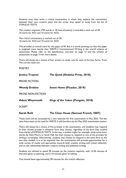Students must then write a critical commentary in which they explore the connections between their own creative piece and the writer they opted to study from the list of STIMULUS TEXTS.

The creative response (750 words or 30 lines of poetry) is awarded a mark out of 20: 10 marks for AO1 and 10 marks for AO2.

The critical commentary is marked out of 20: 10 marks for AO3 and 10 marks for AO4.

This provides an overall mark for the paper of 40. But it is worth pointing out that this paper is weighted more heavily than WRITE-2 Commissioned Writing in the overall scheme of assessment. Please refer to the specification overview on page 12 and the scheme of assessment on page 13 for more details.

There will always be a choice of four writers to study, one for each of the four forms. From The current texts are:

**POETRY** 

| Jessica Traynor          | The Quick (Dedalus Press, 2018)       |
|--------------------------|---------------------------------------|
| <b>PROSE FICTION</b>     |                                       |
| <b>Wendy Erskine</b>     | Sweet Home (Picador, 2019)            |
| <b>PROSE NON-FICTION</b> |                                       |
| <b>Adam Weymouth</b>     | Kings of the Yukon (Penguin, 2018)    |
| <b>SCRIPT</b>            |                                       |
| <b>Sarah Ruhl</b>        | The Clean House (Samuel French, 2007) |

These texts will be succeeded by a new selection for first examination in May 2023. The last time these texts can be used for WRITE-3 will therefore be the May 2022 examination session.

There will always be a choice of five prompts in the examination, and students may respond to their chosen prompt in whatever form they choose, regardless of the form they studied from the list of STIMULUS TEXTS. In this way, a student might, for example, study some short stories by Alice Munro or Sarah Hall, but then choose to respond to one of the prompts by writing a screenplay. Alternatively, students may choose to respond in the same form as the one they studied. It is to be expected that the examination will provide opportunities for a wide variety of routes and approaches towards both creative writing and critical reflection, and on the relationship between creative writing and published writing.

Students are advised to spend 90 minutes on the creative response, with 15-20 minutes of that time given to planning, and 5-10 minutes given to editing.

That should leave approximately 90 minutes for the critical reflection.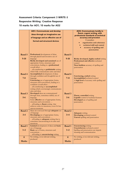#### **Assessment Criteria: Component 3 WRITE-3 Responsive Writing** / **Creative Response 10 marks for AO1; 10 marks for AO2**

|                           | <b>AOI: Communicate and develop</b><br>ideas through an imaginative use<br>of language and an effective use of<br>formal and structural devices                                                                                                                                                                       |                           | <b>AO2: Communicate lucidly in</b><br>fluent, cogent writing, with<br>professional standards of technical<br>accuracy and precision<br>Consider:<br>organisation and coherence<br>technical skill and control<br>accuracy of spelling and<br>punctuation |
|---------------------------|-----------------------------------------------------------------------------------------------------------------------------------------------------------------------------------------------------------------------------------------------------------------------------------------------------------------------|---------------------------|----------------------------------------------------------------------------------------------------------------------------------------------------------------------------------------------------------------------------------------------------------|
| <b>Band 5</b><br>$9 - 10$ | Professional development of ideas<br>through playful and inventive use of<br>language<br>Richly developed and sustained use of<br>appropriate forms, structures and<br>conventions, leading to a professional<br>overall affect<br>all contributing to publishable writing<br>which fully communicates aims and ideas | <b>Band 5</b><br>$9 - 10$ | Richly developed, highly-crafted writing<br>Professional and effective technical<br>control<br><b>Near faultless</b> accuracy of spelling and<br>punctuation                                                                                             |
| <b>Band 4</b><br>$7 - 8$  | Accomplished development of ideas<br>through confident and thoughtful use of<br>language<br>Convincing use of appropriate forms,<br>structures and conventions, leading to a<br>confident overall affect<br>all contributing to accomplished<br>writing which convincingly communicates<br>aims and ideas             | <b>Band 4</b><br>$7 - 8$  | <b>Convincing, crafted writing</b><br><b>Accomplished</b> technical control<br>A high level of accuracy with spelling and<br>punctuation                                                                                                                 |
| <b>Band 3</b><br>$5-6$    | Developed ideas are communicated<br>through clear, sometimes skilful, use of<br>language<br>Some effective use of appropriate forms,<br>structures and conventions<br>all leading to fluent writing that<br>achieves some its intentions, even if it has<br>uneven moments                                            | <b>Band 3</b><br>$5-6$    | Fluent, controlled writing<br><b>Capable</b> control of technical features<br>Developed use of spelling and<br>punctuation                                                                                                                               |
| <b>Band 2</b><br>$3 - 4$  | Ideas are conveyed through adequate use<br>of language<br>Developing use of appropriate forms,<br>structures and conventions<br>all leading to adequate writing that is<br>sometimes unconvincing in its aims and<br>intentions                                                                                       | <b>Band 2</b><br>$3 - 4$  | <b>Adequate writing</b><br>Developing technical control<br><b>Uneven</b> spelling and punctuation                                                                                                                                                        |
| <b>Band 1</b><br>$1 - 2$  | Limited development of ideas and basic<br>use of language<br>Basic use of forms, structures and<br>conventions<br>all leading to <b>unconvincing</b> writing                                                                                                                                                          | <b>Band 1</b><br>$1 - 2$  | <b>Unconvincing</b> writing<br>Unsatisfactory technical control<br>Spelling and punctuation can impede<br>meaning and communication                                                                                                                      |
| $\bf{0}$<br><b>Marks</b>  | No writing, or no relevant writing,<br>produced                                                                                                                                                                                                                                                                       | $\bf{0}$<br><b>Marks</b>  | No writing, or no relevant writing,<br>produced                                                                                                                                                                                                          |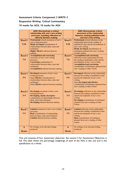#### **Assessment Criteria: Component 3 WRITE-3 Responsive Writing** / **Critical Commentary 10 marks for AO3; 10 marks for AO4**

|                           |                                                                                                                                                                                                                                 |                          | <b>AO4: Demonstrate critical</b>                                                                                                                                                                                                                                               |
|---------------------------|---------------------------------------------------------------------------------------------------------------------------------------------------------------------------------------------------------------------------------|--------------------------|--------------------------------------------------------------------------------------------------------------------------------------------------------------------------------------------------------------------------------------------------------------------------------|
|                           | <b>AO3: Demonstrate a critical</b><br>relationship with one's own writing<br>processes, including reflection on<br>editorial decision making                                                                                    |                          | awareness of the relationship<br>between existing published work<br>and one's own writing                                                                                                                                                                                      |
| <b>Band 5</b><br>$9 - 10$ | Professional critical awareness of one's<br>own writing processes<br><b>Richly developed consideration of</b><br>relationships between ideas, aims and<br>techniques<br><b>Highly effective editorial decision</b><br>making    | <b>Band 5</b><br>$9-10$  | <b>Professional</b> critical reflection on the<br>relationship between the reading of<br>published works and the development of<br>one's own writing<br>Richly developed consideration of<br>techniques gleaned from one's reading<br>of other writers                         |
| <b>Band 4</b><br>$7 - 8$  | <b>Accomplished and convincing</b><br>awareness of one's own writing<br>processes<br><b>Convincing</b> consideration of<br>relationships between ideas, aims and<br>techniques<br><b>Accomplished</b> editorial decision making | <b>Band 4</b><br>$7 - 8$ | <b>Accomplished and convincing</b><br>reflection on the relationship between<br>the reading of published works and the<br>development of one's own writing<br><b>Accomplished and convincing</b><br>consideration of techniques gleaned from<br>one's reading of other writers |
| Band 3<br>$5 - 6$         | Developed awareness of one's own<br>writing processes<br>Some effective consideration of<br>relationships between ideas, aims and<br>techniques<br>Some effective editorial decision making                                     | <b>Band 3</b><br>$5 - 6$ | Developed reflection on the relationship<br>between the reading of published works<br>and the development of one's own<br>writing<br>Some developed and effective<br>consideration of techniques gleaned from<br>one's reading of other writers                                |
| <b>Band 2</b><br>$3 - 4$  | Developing awareness of one's own<br>writing processes<br><b>Developing, mostly descriptive</b><br>consideration of relationships between<br>ideas, aims and techniques<br>Developing editorial decision making                 | <b>Band 2</b><br>$3 - 4$ | Developing reflection on the relationship<br>between the reading of published works<br>and the development of one's own<br>writing<br><b>Developing consideration of techniques</b><br>gleaned from one's reading of other<br>writers                                          |
| <b>Band 1</b><br>$1 - 2$  | Limited awareness of one's own writing<br>processes<br><b>Basic</b> consideration of relationships<br>between ideas, aims and techniques<br>Limited editorial decision making                                                   | <b>Band 1</b><br>$1 - 2$ | Limited reflection on the relationship<br>between the reading of published works<br>and the development of one's own<br>writing<br><b>Basic</b> consideration of techniques<br>gleaned from one's reading of other<br>writers                                                  |
| $\bf{0}$<br><b>Marks</b>  | No writing, or no relevant writing,<br>produced                                                                                                                                                                                 | $\bf{0}$<br><b>Marks</b> | No writing, or no relevant writing,<br>produced                                                                                                                                                                                                                                |

This unit assesses all four assessment objectives. See section 5 for Assessment Objectives in full. The table shows the percentage weightings of each of the AOs in this unit and in the specification as a whole.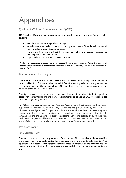## Appendices

#### Quality of Written Communication (QWC)

GCE level qualifications that require students to produce written work in English require students:

- to make sure that writing is clear and legible
- to make sure that spelling, punctuation and grammar are sufficiently well controlled to ensure that meaning is communicated
- to make effective decisions about the form and style of writing, matching language and tone to purpose and readership
- organise ideas in a clear and coherent manner.

While this recognised programme is not currently an Ofqual-regulated GCE, the quality of written communication is of central importance to this qualification, and it will be assessed by means of AO2.

#### Recommended teaching time

The time necessary to deliver this specification is equivalent to that required for any GCE Level qualification. This means that the WEB Creative Writing syllabus is designed on the assumption that candidates have about 360 guided learning hours per subject over the duration of the two-year linear course.

This figure is based on term times in the maintained sector. Some schools in the independent sector run shorter terms, and are therefore accustomed to delivering GCE syllabuses on less time than is generally advised.

For Ofqual approved syllabuses, *guided learning hours* include direct teaching and any other supervised or directed study time. They do not include private study by the candidate. However, these figures are for guidance only, and the number of hours required may vary according to local curricular practice and the candidates' prior experience of writing. In Creative Writing, the amount of independent reading and writing undertaken by students may well make a significant difference to achievement. It may also enable the course to run successfully even in centres where there are fewer *guided learning hours* available.

#### Pre-assessment

#### Initial Estimate of Entries

Estimated entries are your best projection of the number of learners who will be entered for the programme in a particular series. Initial estimate of entries should be submitted to WEB by email by 10 October in the *academic* year that those students will sit the examinations and certificate the qualification. Such estimates are free and do not commit your centre in any way.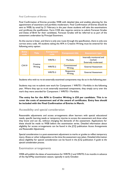#### Final Confirmation of Entries

Final Confirmation of Entries provides WEB with detailed data and enables planning for the appointment of examiners and portfolio moderators. Final Confirmation of Entries should be sent to WEB, by email by 21 February in the year those students will take the examinations and certificate the qualification. Form COE also requires centres to submit Forecast Grades and Dates of Birth for their candidates. Forecast Grades will be referred to as part of the assessment undertaken by Principal Examiners.

As the course is linear, and there is only one route through the specification, there is only one correct entry code. All students taking the AFA in Creative Writing must be entered for the following entry option:

| <b>Entry</b><br>code | <b>Title</b>        | <b>Component</b><br>code | Component title         | <b>Assessment type</b>                                       |  |
|----------------------|---------------------|--------------------------|-------------------------|--------------------------------------------------------------|--|
| CW <sub>19</sub>     |                     | <b>WRITE-I</b>           | Portfolio               | Internally monitored and<br>marked.<br>Externally moderated. |  |
|                      | Creative<br>Writing | WRITE-2                  | Commissioned<br>Writing | <b>External Assessment</b>                                   |  |
|                      |                     | WRITE-3                  | Responsive<br>Writing   | <b>External Assessment</b>                                   |  |

Students who wish to re-sit externally examined components may do so in the following year.

Students may not re-submit new work for Component 1 WRITE-1 Portfolio in the following year. Where they opt to re-sit externally examined components, they simply carry over the mark they were awarded for Component 1 WRITE-1 Portfolio.

**The entry fee for the AFA in Creative Writing is £50 per candidate. This is to cover the costs of assessment and of the award of certificates. Entry fees should be included with the Final Confirmation of Entries in March.**

#### Accessibility and special consideration

Reasonable adjustments and access arrangements allow learners with special educational needs, specific learning needs or temporary injuries to access the assessment and show what they know and can do, without changing the demands of the assessment. Applications for these should be made to WEB before the examination series. Detailed information about eligibility for access arrangements can be found in the JCQ publication *Access Arrangements and Reasonable Adjustments*.

Special consideration is a post-assessment adjustment to marks or grades to reflect temporary injury, illness or other indisposition at the time the assessment was taken. Detailed information about eligibility for special consideration can be found in the JCQ publication *A guide to the special consideration process*.

#### Examination arrangements

WEB will publish the dates of examinations for WRITE-2 and WRITE-3 six months in advance of the April/May examination season, typically in early October.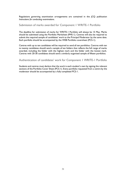Regulations governing examination arrangements are contained in the JCQ publication *Instructions for conducting examinations*.

#### Submission of marks awarded for Component 1 WRITE-1 Portfolio

The deadline for submission of marks for WRITE-1 Portfolio will always be 15 May. Marks should be submitted using the Portfolio Marksheet (PMS-1). Centres will also be required to submit the required sample of candidates' work to the Principal Moderator by the same date. Each portfolio should be accompanied by the WEB Portfolio coversheet (PCS-1).

Centres with up to ten candidates will be required to send all ten portfolios. Centres with ten to twenty candidates should send a sample of ten folders that reflects the full range of marks awarded, including the folder with the highest mark and the folder with the lowest mark. Centres with 20-30 candidates should send a similarly organised sample of fifteen portfolios.

#### Authentication of candidates' work for Component 1 WRITE-1 Portfolio

Students and centres must declare that the work is each student's own by signing the relevant sections of the Portfolio Cover Sheet (PCS-1). Every portfolio requested from a centre by the moderator should be accompanied by a fully completed PCS-1.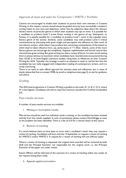#### Approval of texts and tasks for Component 1 WRITE-1 Portfolio

Centres are encouraged to enable their students to pursue their own interests in Creative Writing. In this respect, centres should always be guided more by how successfully a student's writing meets its own aims and objectives, rather than by subjective ideas about the relevant literary merits of particular genres in which their students may opt to write. It is possible for a candidate to produce Level 5 prose fiction writing in the genres of say, Steampunk, or Fantasy. It is equally possible for a candidate to produce Level 1 work in the arguably more literary genre of the sonnet. Similarly, some candidates may well produce Level 5 critical commentaries by discussing with great insight and perception the influence on their work of non-literary writers, while others may produce less convincing commentaries of the extent to which they've taken influence from, say, James Joyce or T S Eliot. Clearly, some of the more literary genres can encourage the complexity, linguistic sophistication and formal control that characterises great writing. But great writing can take a variety of forms. It is also worth stating that it is always obvious to examiners when candidates have recycled texts encountered during their GCSE or A-Level English Literature studies, citing them as influences on their Creative Writing for AO4. Typically, this strategy is used in an attempt to mask or veil the fact that the candidate has not really engaged with independent reading of contemporary writers, and it is rarely convincing.

There is no need to seek official approval for stimulus texts and influences, but in cases of doubt, please feel free to contact WEB, by email or telephone (see page 2), to ask for guidance and advice.

#### Grading

This AFA level programme in Creative Writing is graded on the scale:  $A^*$ , A, B, C, D, E, where A\* is the highest. Candidates who fail to reach the minimum standard for E will be Unclassified (U).

#### Post-results services

A number of post-results services are available:

1. **Missing or incomplete results**

**T**his service should be used if an individual result is missing, or the candidate has been omitted entirely from the results supplied. In such circumstances please contact David Briggs as soon as the problem has been identified. There is a fee of  $£10$  for a clerical check of this nature.

**2. Reviews of marking**

If a centre believes there to have been an error with a candidate's result, they may request a review of marking. Candidates will have until the 14 September to request a review of marking for WRITE-2 and/or WRITE-3. A request for a review of marking will cost  $£40$  per paper.

Where a review of marking is requested, the original mark awarded will be reviewed by both DLB and the Principal Examiner not responsible for the original mark: i.e. the Principal Examiner of the paper not under review.

Exams Officers will be informed of the outcome of a review of marking within two weeks of the request having been made.

**3. Appeals against procedure**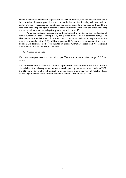When a centre has submitted requests for reviews of marking, and also believes that WEB has not followed its own procedures, as outlined in this specification, they will have until the end of October in that year to submit an appeal against procedure. Provided both conditions have been met, an appeal against procedure may be submitted in the form of a letter explaining the perceived issue. An appeal against procedure will cost £150.

An appeal against procedure should be submitted in writing to the Headmaster of Bristol Grammar School, stating clearly the precise nature of the perceived failing. The Headmaster of Bristol Grammar School, or a person appointed by him for the purpose (which should be a member of his SLT), will investigate, and inform the relevant centre of his or her decision. All decisions of the Headmaster of Bristol Grammar School, and his appointed spokesperson in such matters, will be final.

**4. Access to scripts**

Centres can request access to marked scripts. There is an administrative charge of £10 per script.

Centres should note that there is a fee for all post-results services requested. In the case of a clerical check for **missing or incomplete marks** proving that an error was made by WEB, the £10 fee will be reimbursed. Similarly, in circumstances where a **review of marking** leads to a change of overall grade for that candidate, WEB will refund the £40 fee.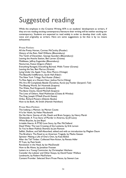## Suggested reading

While the emphasis in the Creative Writing AFA is on students' development as writers, if they are not reading exciting contemporary literature their writing will be neither exciting nor contemporary. Students are expected to read widely in order to develop their craft, style, voice and originality as writers. Here are some suggestions (a list that is by no means exhaustive):

**Prose Fiction:**

All the Pretty Horses, Cormac McCarthy (Picador) History of the Rain, Niall Williams (Bloomsbury) The Tenth of December, George Saunders (Bloomsbury) Leaving the Atocha Station, Ben Lerner (Granta) Middlesex, Jeffrey Eugenides (Bloomsbury) Nocturnes, Kazuo Ishiguro (Faber) Everything Ravaged, Everything Burned, Wells Tower (Granta) Leaving the Sea, Ben Marcus (Granta) Lying Under the Apple Tree, Alice Munro (Vintage) The Beautiful Indifference, Sarah Hall (Faber) The New York Trilogy, Paul Auster (Faber) To Rise Again at a Decent Hour, Joshua Ferris (Viking) We Are All Completely Beside Ourselves, Karen Joy Fowler (Serpent's Tail) The Blazing World, Siri Hustvedt (Sceptre) The Wake, Paul Kingsnorth (Unbound) The Bone Clocks, David Mitchell (Sceptre) The Lives of Others, Neel Mukherjee (Chatto & Windus) The Dog, Joseph O'Neill (Fourth Estate) Orfeo, Richard Powers (Atlantic Books) How to be Both, Ali Smith (Hamish Hamilton)

**Prose Non-Fiction:**

The Iceberg: a Memoir, by Marion Coutts H Is for Hawk, by Helen Macdonald Do No Harm: Stories of Life, Death and Brain Surgery, by Henry Marsh Ghettoside: A True Story of Murder in America, by Jill Leovy White Bicycles, by Joe Boyd Irritable Hearts: A PTSD Love Story, by Mac McClelland Dead Wake: The Last Crossing of the Lusitania, by Erik Larson So You've Been Publicly Shamed, by Jon Ronson Selfish, Shallow, and Self-Absorbed, edited and with an introduction by Meghan Daum The Brothers: The Road to an American Tragedy, by Masha Gessen Spinster: Making a Life of One's Own, by Kate Bolick After the Tall Timber: Collected Non-fiction, by Renata Adler M Train, by Patti Smith Revolution in the Head, by Ian MacDonald How to Be Alone, by Jonathan Franzen Letters to a Young Contrarian, by Christopher Hitchens Consider the Lobster and Other Essays, by David Foster Wallace Landmarks, by Robert MacFarlane Content Provider: Selected Short Prose Pieces, by Stewart Lee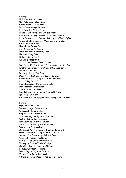**Poetry:** Niall Campbell, *Moontide* Neil Rollinson, *Talking Dead* Andrew McMillan, *Physical* Fiona Benson *Bright Travellers* John Burnside *All One Breath* Louise Glück *Faithful and Virtuous Night* Ruth Padel *Learning to Make an Oud in Nazareth* Kevin Powers *Letter Composed During a Lull in the Fighting* Arundhathi Subramaniam *When God is a Traveller* Ahren Warner *Pretty* Helen Mort *Division Street* Sam Riviere *81 Austerities* Mark Waldron *Meanwhile, Trees* Matthew Caley *Rake* Liz Berry *Black Country* Ian Duhig *Pandorama* Oli Hazzard *Between Two Windows* Paul Farley *The Boy from the Chemist is Here to See You* Jonathan Edwards *My Family and Other Superheroes* Luke Kennard *Cain* Dorothy Molloy *Hare Soup* Daljit Nagra *Look We Have Coming to Dover!* Alice Oswald *The Thing in the Gap-Stone Stile* Jacob Polley *Jackself* Robin Robertson *The Wrecking Light* Don Paterson *Landing Light* Charles Simic *Sixty Poems* Brenda Shaughnessy *Human Dark With Sugar* Paul Muldoon *Maggot* Kei Miller *The Cartographer Tries to Map a Way to Zion*

#### **Script:**

*Eight*, by Ella Hickson *Jerusalem*, by Jez Butterworth *Amadeus*, by Peter Shaffer *King Pelican*, by Chris Goode *Scaramouche Jones*, by Justin Butcher *Rock 'n' Roll*, by Tom Stoppard *Pulp Fiction*, by Quentin Tarantino *Some Trace of Her*, by Katie Mitchell *Ballyturk*, by Enda Walsh *The Last of the Hausmans*, by Stephen Beresford *Revolt. She said. Revolt again*, by Alice Birch *Chewing Gum Dreams*, by Michaela Cole *Pomona*, by Alistair MacDowell *Each Slow Dusk*, by Rory Mullarkey *Fleabag*, by Phoebe Waller-Bridge *The Village Bike*, by Penelope Skinner *Cockroach*, by Sam Holcroft *Eden's Empire*, by James Graham *Me as a Penguin*, by Tom Wells *If There is I Haven't Found it Yet*, by Nick Payne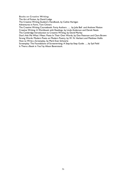**Books on Creative Writing:** The Art of Fiction, by David Lodge The Creative Writing Student's Handbook, by Cathie Hartigan Adventures in Form, Tom Chivers The Creative Writing Coursebook: Forty Authors …, by Julia Bell and Andrew Motion Creative Writing: A Workbook with Readings, by Linda Anderson and Derek Neale

The Cambridge Introduction to Creative Writing, by David Morley

Don't Ask Me What I Mean: Poets In Their Own Words, by Don Paterson and Clare Brown Strong Words: Modern Poets on Modern Poetry, by W. N. Herbert and Matthew Hollis How to Write a Screenplay, by Mark Evan Schwartz

Screenplay: The Foundations of Screenwriting: A Step-by-Step Guide …, by Syd Field Is There a Book in You? by Alison Baverstock.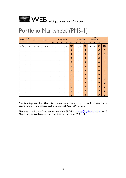

### Portfolio Marksheet (PMS-1)

| <b>Centr</b><br>e No. | Candi<br>date | <b>Surname</b>  | Forename | <b>A: Exploration</b> |     |     |     |              | <b>B: Specialism</b> |     |              | <b>C: Critical</b><br><b>Reflection</b> |     | <b>TOTAL</b> |           |
|-----------------------|---------------|-----------------|----------|-----------------------|-----|-----|-----|--------------|----------------------|-----|--------------|-----------------------------------------|-----|--------------|-----------|
|                       | No.           |                 |          | A01                   | A02 | AO3 | A04 | <b>Total</b> | A01                  | A02 | <b>Total</b> | AO3                                     | A04 | <b>Total</b> |           |
| e.g.<br>50419         | 2103          | <b>Saunders</b> | George   | 15                    | 15  | 5   | 5   | 40           | 20                   | 20  | 40           | 20                                      | 20  | 40           | 120       |
|                       |               |                 |          |                       |     |     |     | 0            |                      |     | 0            |                                         |     | 0            | $\pmb{o}$ |
|                       |               |                 |          |                       |     |     |     | 0            |                      |     | 0            |                                         |     | 0            | $\pmb{o}$ |
|                       |               |                 |          |                       |     |     |     | 0            |                      |     | 0            |                                         |     | 0            | $\pmb{o}$ |
|                       |               |                 |          |                       |     |     |     | 0            |                      |     | 0            |                                         |     | 0            | $\pmb{o}$ |
|                       |               |                 |          |                       |     |     |     | 0            |                      |     | 0            |                                         |     | 0            | $\pmb{o}$ |
|                       |               |                 |          |                       |     |     |     | 0            |                      |     | 0            |                                         |     | 0            | $\pmb{o}$ |
|                       |               |                 |          |                       |     |     |     | 0            |                      |     | 0            |                                         |     | 0            | $\pmb{o}$ |
|                       |               |                 |          |                       |     |     |     | 0            |                      |     | 0            |                                         |     | 0            | $\pmb{o}$ |
|                       |               |                 |          |                       |     |     |     | 0            |                      |     | 0            |                                         |     | 0            | $\pmb{o}$ |
|                       |               |                 |          |                       |     |     |     | 0            |                      |     | 0            |                                         |     | 0            | $\pmb{o}$ |
|                       |               |                 |          |                       |     |     |     | 0            |                      |     | 0            |                                         |     | 0            | $\pmb{o}$ |
|                       |               |                 |          |                       |     |     |     | 0            |                      |     | 0            |                                         |     | 0            | 0         |

This form is provided for illustrative purposes only. Please use the active Excel Worksheet version of the form which is available via the WEB GoogleDrive folder.

Please email an Excel Worksheet version of the PMS-1 to [dbriggs@bgs.bristol.sch.uk](mailto:dbriggs@bgs.bristol.sch.uk) by 15 May in the year candidates will be submitting their work for WRITE-1.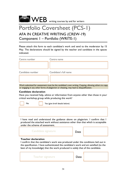

### Portfolio Coversheet (PCS-1) AFA IN CREATIVE WRITING (CREW-19) Component 1 – Portfolio (WRITE-1)

Please attach this form to each candidate's work and send to the moderator by 15 May. The declarations should be signed by the teacher and candidate in the spaces indicated.

| Centre number    | Centre name           |
|------------------|-----------------------|
|                  |                       |
|                  |                       |
| Candidate number | Candidate's full name |
|                  |                       |
|                  |                       |

Work submitted for assessment must be the candidate's own writing. Copying, allowing others to copy, or engaging in any other forms of plagiarism or cheating, may lead to disqualification.

#### **Candidate declaration**

Have you received help, advice or information from anyone other than those in your critical workshop group while producing this work?

| No | Yes (give brief details below)                                                |
|----|-------------------------------------------------------------------------------|
|    |                                                                               |
|    |                                                                               |
|    | I have read and understood the guidance above on plagiarism. I confirm that I |

produced the attached work without assistance other than that which is acceptable under the scheme of assessment.



#### **Teacher declaration**

I confirm that the candidate's work was produced under the conditions laid out in the specification. I have authenticated the candidate's work and am satisfied (to the best of my knowledge) that the work produced is solely that of the candidate.

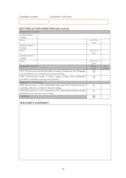#### **SECTION A: EXPLORATION [40 marks]**

| <b>Exploration / Creative</b>                                             |                                                                          |             |         |
|---------------------------------------------------------------------------|--------------------------------------------------------------------------|-------------|---------|
| Creative piece I                                                          |                                                                          |             |         |
| Title(s)                                                                  |                                                                          |             |         |
| Form                                                                      |                                                                          | word / line |         |
|                                                                           |                                                                          | count       |         |
| Creative piece 2                                                          |                                                                          |             |         |
| Title(s)                                                                  |                                                                          |             |         |
| Form                                                                      |                                                                          | word / line |         |
|                                                                           |                                                                          | count       |         |
| Creative piece 3                                                          |                                                                          |             |         |
| Title(s)                                                                  |                                                                          |             |         |
| Form                                                                      |                                                                          | word / line |         |
|                                                                           |                                                                          | count       |         |
| <b>Assessment Criteria</b>                                                |                                                                          | Maximum     | Mark    |
|                                                                           |                                                                          | mark        | awarded |
|                                                                           | AOI Communicate and develop ideas through an imaginative use of language | 15          |         |
|                                                                           | and an effective use of formal and structural devices                    |             |         |
|                                                                           | AO2 Communicate lucidly in fluent, cogent writing, with professional     | 15          |         |
|                                                                           | standards of technical accuracy and precision                            |             |         |
| <b>Exploration / Commentary</b>                                           |                                                                          |             |         |
| AO3 Demonstrate a critical relationship with one's own writing processes, | 5                                                                        |             |         |
| including reflection on editorial decision making                         |                                                                          |             |         |
| AO4 Demonstrate a critical awareness of the relationship between existing | 5                                                                        |             |         |
| published work and one's own writing                                      |                                                                          |             |         |
| <b>Total Mark</b>                                                         |                                                                          |             |         |

#### **TEACHER'S COMMENT**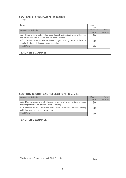#### **SECTION B: SPECIALISM [40 marks]**

| Title(s)                   |                                                                          |             |         |
|----------------------------|--------------------------------------------------------------------------|-------------|---------|
| Form                       |                                                                          | word / line |         |
|                            |                                                                          | count       |         |
| <b>Assessment Criteria</b> |                                                                          | Maximum     | Mark    |
|                            |                                                                          | mark        | awarded |
|                            | AOI Communicate and develop ideas through an imaginative use of language | 20          |         |
|                            | and an effective use of formal and structural devices                    |             |         |
|                            | AO2 Communicate lucidly in fluent, cogent writing, with professional     | 20          |         |
|                            | standards of technical accuracy and precision                            |             |         |
| <b>Total Mark</b>          |                                                                          |             |         |

#### **TEACHER'S COMMENT**

#### **SECTION C: CRITICAL REFLECTION [40 marks]**

| <b>Assessment Criteria</b>                                                | <b>Maximum</b> | Mark    |
|---------------------------------------------------------------------------|----------------|---------|
|                                                                           | mark           | awarded |
| AO3 Demonstrate a critical relationship with one's own writing processes, | 20             |         |
| including reflection on editorial decision making                         |                |         |
| AO4 Demonstrate a critical awareness of the relationship between existing | 20             |         |
| published work and one's own writing                                      |                |         |
| <b>Total Mark</b>                                                         |                |         |

#### **TEACHER'S COMMENT**

| Total mark for Component   WRITE-I Portfolio |  |  |
|----------------------------------------------|--|--|
|----------------------------------------------|--|--|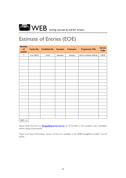

### Estimate of Entries (EOE)

| <b>Number</b><br>of<br>entries |            | Centre No. Candidate No. | <b>Surname</b>  | <b>Forename</b> | <b>Programme Title</b>  | <b>Course</b><br>Code |
|--------------------------------|------------|--------------------------|-----------------|-----------------|-------------------------|-----------------------|
| $\it 1$                        | e.g. 50419 | 2103                     | <b>Saunders</b> | George          | AFA in Creative Writing | CW19                  |
|                                |            |                          |                 |                 |                         |                       |
|                                |            |                          |                 |                 |                         |                       |
|                                |            |                          |                 |                 |                         |                       |
|                                |            |                          |                 |                 |                         |                       |
|                                |            |                          |                 |                 |                         |                       |
|                                |            |                          |                 |                 |                         |                       |
|                                |            |                          |                 |                 |                         |                       |
|                                |            |                          |                 |                 |                         |                       |
|                                |            |                          |                 |                 |                         |                       |
|                                |            |                          |                 |                 |                         |                       |
|                                |            |                          |                 |                 |                         |                       |
|                                |            |                          |                 |                 |                         |                       |
|                                |            |                          |                 |                 |                         |                       |
|                                |            |                          |                 |                 |                         |                       |
|                                |            |                          |                 |                 |                         |                       |
|                                |            |                          |                 |                 |                         |                       |
|                                |            |                          |                 |                 |                         |                       |
|                                |            |                          |                 |                 |                         |                       |
|                                |            |                          |                 |                 |                         |                       |
| $TOT = 1$                      |            |                          |                 |                 |                         |                       |

Please email this form to **dbriggs@bgs.bristol.sch.uk** by 10 October in the academic year candidates will be sitting examinations.

There is an Excel Worksheet version of the form available in the WEB GoogleDrive folder if you'd prefer.